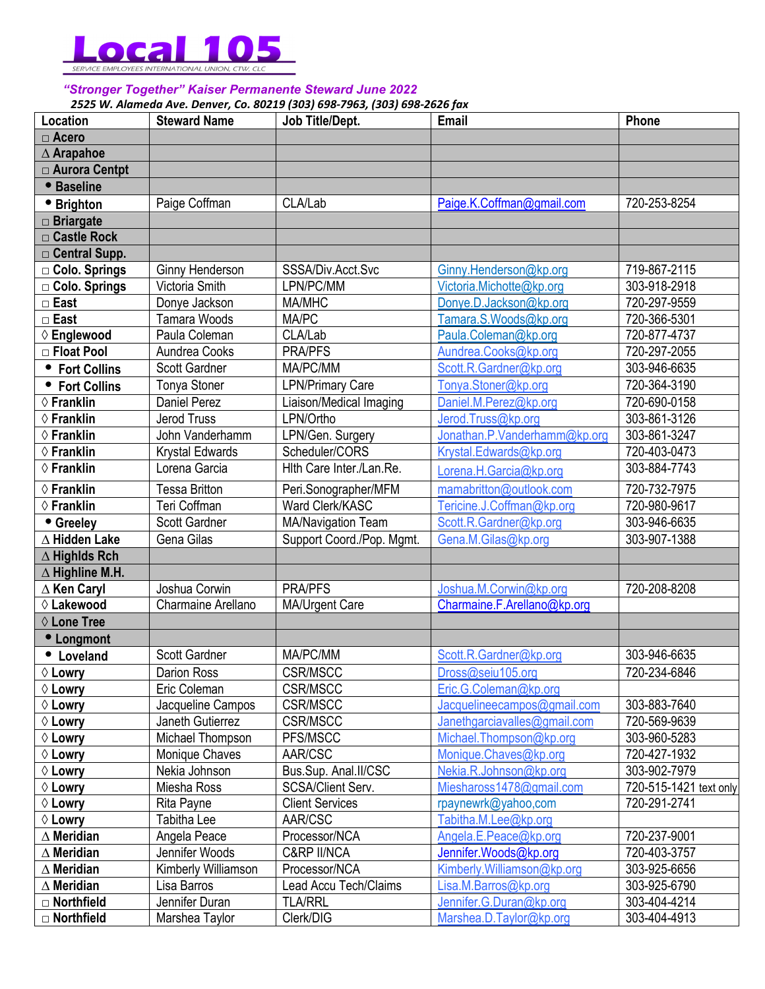

## *"Stronger Together" Kaiser Permanente Steward June 2022*

*2525 W. Alameda Ave. Denver, Co. 80219 (303) 698-7963, (303) 698-2626 fax* 

| Location               | <b>Steward Name</b>  | Job Title/Dept.           | Email                        | Phone                  |
|------------------------|----------------------|---------------------------|------------------------------|------------------------|
| $\Box$ Acero           |                      |                           |                              |                        |
| $\triangle$ Arapahoe   |                      |                           |                              |                        |
| □ Aurora Centpt        |                      |                           |                              |                        |
| <b>• Baseline</b>      |                      |                           |                              |                        |
| • Brighton             | Paige Coffman        | CLA/Lab                   | Paige.K.Coffman@gmail.com    | 720-253-8254           |
| $\Box$ Briargate       |                      |                           |                              |                        |
| □ Castle Rock          |                      |                           |                              |                        |
| $\Box$ Central Supp.   |                      |                           |                              |                        |
| □ Colo. Springs        | Ginny Henderson      | SSSA/Div.Acct.Svc         | Ginny.Henderson@kp.org       | 719-867-2115           |
| □ Colo. Springs        | Victoria Smith       | LPN/PC/MM                 | Victoria.Michotte@kp.org     | 303-918-2918           |
| $\Box$ East            | Donye Jackson        | MA/MHC                    | Donye.D.Jackson@kp.org       | 720-297-9559           |
| $\Box$ East            | <b>Tamara Woods</b>  | MA/PC                     | Tamara.S.Woods@kp.org        | 720-366-5301           |
| ♦ Englewood            | Paula Coleman        | CLA/Lab                   | Paula.Coleman@kp.org         | 720-877-4737           |
| □ Float Pool           | Aundrea Cooks        | <b>PRA/PFS</b>            | Aundrea.Cooks@kp.org         | 720-297-2055           |
| • Fort Collins         | Scott Gardner        | MA/PC/MM                  | Scott.R.Gardner@kp.org       | 303-946-6635           |
| • Fort Collins         | Tonya Stoner         | <b>LPN/Primary Care</b>   | Tonya.Stoner@kp.org          | 720-364-3190           |
| $\diamond$ Franklin    | <b>Daniel Perez</b>  | Liaison/Medical Imaging   | Daniel.M.Perez@kp.org        | 720-690-0158           |
| $\diamond$ Franklin    | <b>Jerod Truss</b>   | LPN/Ortho                 | Jerod.Truss@kp.org           | 303-861-3126           |
| $\diamond$ Franklin    | John Vanderhamm      | LPN/Gen. Surgery          | Jonathan.P.Vanderhamm@kp.org | 303-861-3247           |
| $\diamond$ Franklin    | Krystal Edwards      | Scheduler/CORS            | Krystal.Edwards@kp.org       | 720-403-0473           |
| ♦ Franklin             | Lorena Garcia        | Hith Care Inter./Lan.Re.  | Lorena.H.Garcia@kp.org       | 303-884-7743           |
| ♦ Franklin             | <b>Tessa Britton</b> | Peri.Sonographer/MFM      | mamabritton@outlook.com      | 720-732-7975           |
| $\diamond$ Franklin    | Teri Coffman         | Ward Clerk/KASC           | Tericine.J.Coffman@kp.org    | 720-980-9617           |
| • Greeley              | Scott Gardner        | MA/Navigation Team        | Scott.R.Gardner@kp.org       | 303-946-6635           |
| $\Delta$ Hidden Lake   | Gena Gilas           | Support Coord./Pop. Mgmt. | Gena.M.Gilas@kp.org          | 303-907-1388           |
| $\Delta$ Highlds Rch   |                      |                           |                              |                        |
| $\Delta$ Highline M.H. |                      |                           |                              |                        |
| $\Delta$ Ken Caryl     | Joshua Corwin        | <b>PRA/PFS</b>            | Joshua.M.Corwin@kp.org       | 720-208-8208           |
| ♦ Lakewood             | Charmaine Arellano   | MA/Urgent Care            | Charmaine.F.Arellano@kp.org  |                        |
| ♦ Lone Tree            |                      |                           |                              |                        |
| • Longmont             |                      |                           |                              |                        |
| • Loveland             | Scott Gardner        | MA/PC/MM                  | Scott.R.Gardner@kp.org       | 303-946-6635           |
| $\Diamond$ Lowry       | Darion Ross          | CSR/MSCC                  | Dross@seiu105.org            | 720-234-6846           |
| $\Diamond$ Lowry       | Eric Coleman         | CSR/MSCC                  | Eric.G.Coleman@kp.org        |                        |
| $\Diamond$ Lowry       | Jacqueline Campos    | CSR/MSCC                  | Jacquelineecampos@gmail.com  | 303-883-7640           |
| $\Diamond$ Lowry       | Janeth Gutierrez     | CSR/MSCC                  | Janethgarciavalles@gmail.com | 720-569-9639           |
| $\Diamond$ Lowry       | Michael Thompson     | PFS/MSCC                  | Michael.Thompson@kp.org      | 303-960-5283           |
| $\Diamond$ Lowry       | Monique Chaves       | AAR/CSC                   | Monique.Chaves@kp.org        | 720-427-1932           |
| $\Diamond$ Lowry       | Nekia Johnson        | Bus.Sup. Anal.II/CSC      | Nekia.R.Johnson@kp.org       | 303-902-7979           |
| $\Diamond$ Lowry       | Miesha Ross          | <b>SCSA/Client Serv.</b>  | Mieshaross1478@gmail.com     | 720-515-1421 text only |
| $\Diamond$ Lowry       | Rita Payne           | <b>Client Services</b>    | rpaynewrk@yahoo,com          | 720-291-2741           |
| $\Diamond$ Lowry       | Tabitha Lee          | AAR/CSC                   | Tabitha.M.Lee@kp.org         |                        |
| $\Delta$ Meridian      | Angela Peace         | Processor/NCA             | Angela.E.Peace@kp.org        | 720-237-9001           |
| $\Delta$ Meridian      | Jennifer Woods       | <b>C&amp;RP II/NCA</b>    | Jennifer.Woods@kp.org        | 720-403-3757           |
| $\Delta$ Meridian      | Kimberly Williamson  | Processor/NCA             | Kimberly. Williamson@kp.org  | 303-925-6656           |
| $\Delta$ Meridian      | Lisa Barros          | Lead Accu Tech/Claims     | Lisa.M.Barros@kp.org         | 303-925-6790           |
| $\Box$ Northfield      | Jennifer Duran       | <b>TLA/RRL</b>            | Jennifer.G.Duran@kp.org      | 303-404-4214           |
| □ Northfield           | Marshea Taylor       | Clerk/DIG                 | Marshea.D.Taylor@kp.org      | 303-404-4913           |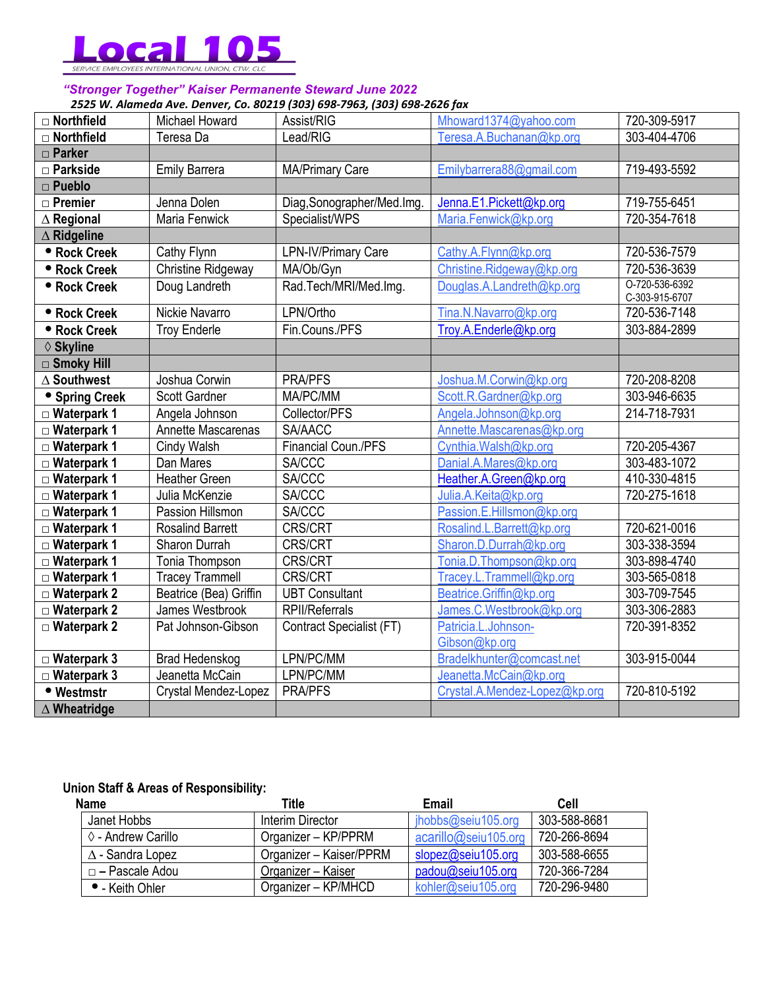

#### *"Stronger Together" Kaiser Permanente Steward June 2022 2525 W. Alameda Ave. Denver, Co. 80219 (303) 698-7963, (303) 698-2626 fax*

| □ Northfield           | Michael Howard            | Assist/RIG                 | Mhoward1374@yahoo.com                | 720-309-5917                     |
|------------------------|---------------------------|----------------------------|--------------------------------------|----------------------------------|
| $\Box$ Northfield      | Teresa Da                 | Lead/RIG                   | Teresa.A.Buchanan@kp.org             | 303-404-4706                     |
| $\Box$ Parker          |                           |                            |                                      |                                  |
| $\Box$ Parkside        | <b>Emily Barrera</b>      | <b>MA/Primary Care</b>     | Emilybarrera88@gmail.com             | 719-493-5592                     |
| $\Box$ Pueblo          |                           |                            |                                      |                                  |
| $\Box$ Premier         | Jenna Dolen               | Diag, Sonographer/Med.Img. | Jenna.E1.Pickett@kp.org              | 719-755-6451                     |
| $\triangle$ Regional   | Maria Fenwick             | Specialist/WPS             | Maria.Fenwick@kp.org                 | 720-354-7618                     |
| $\Delta$ Ridgeline     |                           |                            |                                      |                                  |
| <b>• Rock Creek</b>    | Cathy Flynn               | LPN-IV/Primary Care        | Cathy.A.Flynn@kp.org                 | 720-536-7579                     |
| <b>• Rock Creek</b>    | <b>Christine Ridgeway</b> | MA/Ob/Gyn                  | Christine.Ridgeway@kp.org            | 720-536-3639                     |
| • Rock Creek           | Doug Landreth             | Rad.Tech/MRI/Med.Img.      | Douglas.A.Landreth@kp.org            | O-720-536-6392<br>C-303-915-6707 |
| • Rock Creek           | Nickie Navarro            | LPN/Ortho                  | Tina.N.Navarro@kp.org                | 720-536-7148                     |
| • Rock Creek           | <b>Troy Enderle</b>       | Fin.Couns./PFS             | Troy.A.Enderle@kp.org                | 303-884-2899                     |
| ♦ Skyline              |                           |                            |                                      |                                  |
| $\Box$ Smoky Hill      |                           |                            |                                      |                                  |
| $\Delta$ Southwest     | Joshua Corwin             | <b>PRA/PFS</b>             | Joshua.M.Corwin@kp.org               | 720-208-8208                     |
| • Spring Creek         | Scott Gardner             | MA/PC/MM                   | Scott.R.Gardner@kp.org               | 303-946-6635                     |
| $\Box$ Waterpark 1     | Angela Johnson            | Collector/PFS              | Angela.Johnson@kp.org                | 214-718-7931                     |
| $\Box$ Waterpark 1     | Annette Mascarenas        | SA/AACC                    | Annette.Mascarenas@kp.org            |                                  |
| $\Box$ Waterpark 1     | Cindy Walsh               | Financial Coun./PFS        | Cynthia.Walsh@kp.org                 | 720-205-4367                     |
| $\Box$ Waterpark 1     | Dan Mares                 | <b>SA/CCC</b>              | Danial.A.Mares@kp.org                | 303-483-1072                     |
| $\square$ Waterpark 1  | <b>Heather Green</b>      | <b>SA/CCC</b>              | Heather.A.Green@kp.org               | 410-330-4815                     |
| $\square$ Waterpark 1  | Julia McKenzie            | <b>SA/CCC</b>              | Julia.A.Keita@kp.org                 | 720-275-1618                     |
| $\square$ Waterpark 1  | Passion Hillsmon          | <b>SA/CCC</b>              | Passion.E.Hillsmon@kp.org            |                                  |
| $\square$ Waterpark 1  | <b>Rosalind Barrett</b>   | <b>CRS/CRT</b>             | Rosalind.L.Barrett@kp.org            | 720-621-0016                     |
| $\square$ Waterpark 1  | Sharon Durrah             | CRS/CRT                    | Sharon.D.Durrah@kp.org               | 303-338-3594                     |
| $\Box$ Waterpark 1     | Tonia Thompson            | <b>CRS/CRT</b>             | Tonia.D.Thompson@kp.org              | 303-898-4740                     |
| $\square$ Waterpark 1  | <b>Tracey Trammell</b>    | <b>CRS/CRT</b>             | Tracey.L.Trammell@kp.org             | 303-565-0818                     |
| $\Box$ Waterpark 2     | Beatrice (Bea) Griffin    | <b>UBT Consultant</b>      | Beatrice.Griffin@kp.org              | 303-709-7545                     |
| $\square$ Waterpark 2  | James Westbrook           | <b>RPII/Referrals</b>      | James.C.Westbrook@kp.org             | 303-306-2883                     |
| $\square$ Waterpark 2  | Pat Johnson-Gibson        | Contract Specialist (FT)   | Patricia.L.Johnson-<br>Gibson@kp.org | 720-391-8352                     |
| $\Box$ Waterpark 3     | <b>Brad Hedenskog</b>     | LPN/PC/MM                  | Bradelkhunter@comcast.net            | 303-915-0044                     |
| $\Box$ Waterpark 3     | Jeanetta McCain           | LPN/PC/MM                  | Jeanetta.McCain@kp.org               |                                  |
| • Westmstr             | Crystal Mendez-Lopez      | <b>PRA/PFS</b>             | Crystal.A.Mendez-Lopez@kp.org        | 720-810-5192                     |
| $\triangle$ Wheatridge |                           |                            |                                      |                                  |

# **Union Staff & Areas of Responsibility:**

| <b>Name</b>             | Title                   | Email                | Cell         |
|-------------------------|-------------------------|----------------------|--------------|
| Janet Hobbs             | Interim Director        | jhobbs@seiu105.org   | 303-588-8681 |
| ♦ - Andrew Carillo      | Organizer – KP/PPRM     | acarillo@seiu105.org | 720-266-8694 |
| $\Delta$ - Sandra Lopez | Organizer - Kaiser/PPRM | slopez@seiu105.org   | 303-588-6655 |
| □ – Pascale Adou        | Organizer - Kaiser      | padou@seiu105.org    | 720-366-7284 |
| • - Keith Ohler         | Organizer - KP/MHCD     | kohler@seiu105.org   | 720-296-9480 |